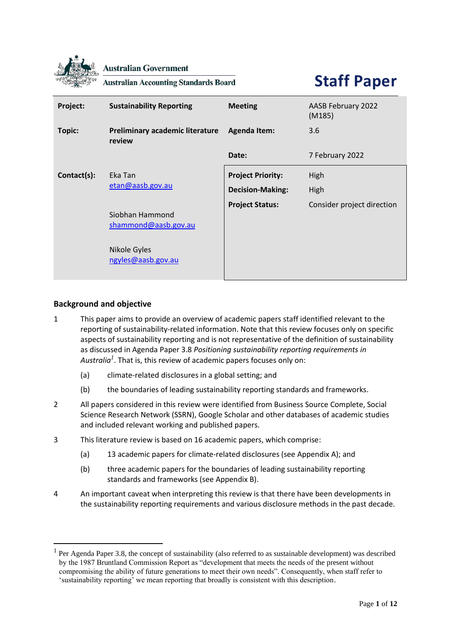

**Australian Government** 

**Australian Accounting Standards Board** 

# **Staff Paper**

| Project:    | <b>Sustainability Reporting</b>                                               | <b>Meeting</b>           | AASB February 2022<br>(M185) |
|-------------|-------------------------------------------------------------------------------|--------------------------|------------------------------|
| Topic:      | Preliminary academic literature<br>review                                     | <b>Agenda Item:</b>      | 3.6                          |
|             |                                                                               | Date:                    | 7 February 2022              |
| Contact(s): | Eka Tan<br>etan@aasb.gov.au                                                   | <b>Project Priority:</b> | High                         |
|             |                                                                               | <b>Decision-Making:</b>  | High                         |
|             | Siobhan Hammond<br>shammond@aasb.gov.au<br>Nikole Gyles<br>ngyles@aasb.gov.au | <b>Project Status:</b>   | Consider project direction   |

## **Background and objective**

- 1 This paper aims to provide an overview of academic papers staff identified relevant to the reporting of sustainability-related information. Note that this review focuses only on specific aspects of sustainability reporting and is not representative of the definition of sustainability as discussed in Agenda Paper 3.8 *Positioning sustainability reporting requirements in Australia<sup>1</sup>* . That is, this review of academic papers focuses only on:
	- (a) climate-related disclosures in a global setting; and
	- (b) the boundaries of leading sustainability reporting standards and frameworks.
- 2 All papers considered in this review were identified from Business Source Complete, Social Science Research Network (SSRN), Google Scholar and other databases of academic studies and included relevant working and published papers.
- 3 This literature review is based on 16 academic papers, which comprise:
	- (a) 13 academic papers for climate-related disclosures (see Appendix A); and
	- (b) three academic papers for the boundaries of leading sustainability reporting standards and frameworks (see Appendix B).
- 4 An important caveat when interpreting this review is that there have been developments in the sustainability reporting requirements and various disclosure methods in the past decade.

<sup>&</sup>lt;sup>1</sup> Per Agenda Paper 3.8, the concept of sustainability (also referred to as sustainable development) was described by the 1987 Bruntland Commission Report as "development that meets the needs of the present without compromising the ability of future generations to meet their own needs". Consequently, when staff refer to 'sustainability reporting' we mean reporting that broadly is consistent with this description.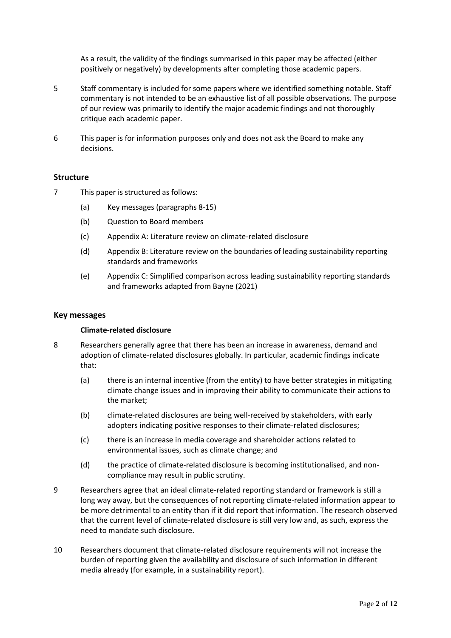As a result, the validity of the findings summarised in this paper may be affected (either positively or negatively) by developments after completing those academic papers.

- 5 Staff commentary is included for some papers where we identified something notable. Staff commentary is not intended to be an exhaustive list of all possible observations. The purpose of our review was primarily to identify the major academic findings and not thoroughly critique each academic paper.
- 6 This paper is for information purposes only and does not ask the Board to make any decisions.

## **Structure**

- 7 This paper is structured as follows:
	- (a) Key messages (paragraphs 8-15)
	- (b) Question to Board members
	- (c) Appendix A: Literature review on climate-related disclosure
	- (d) Appendix B: Literature review on the boundaries of leading sustainability reporting standards and frameworks
	- (e) Appendix C: Simplified comparison across leading sustainability reporting standards and frameworks adapted from Bayne (2021)

#### **Key messages**

#### **Climate-related disclosure**

- 8 Researchers generally agree that there has been an increase in awareness, demand and adoption of climate-related disclosures globally. In particular, academic findings indicate that:
	- (a) there is an internal incentive (from the entity) to have better strategies in mitigating climate change issues and in improving their ability to communicate their actions to the market;
	- (b) climate-related disclosures are being well-received by stakeholders, with early adopters indicating positive responses to their climate-related disclosures;
	- (c) there is an increase in media coverage and shareholder actions related to environmental issues, such as climate change; and
	- (d) the practice of climate-related disclosure is becoming institutionalised, and noncompliance may result in public scrutiny.
- 9 Researchers agree that an ideal climate-related reporting standard or framework is still a long way away, but the consequences of not reporting climate-related information appear to be more detrimental to an entity than if it did report that information. The research observed that the current level of climate-related disclosure is still very low and, as such, express the need to mandate such disclosure.
- 10 Researchers document that climate-related disclosure requirements will not increase the burden of reporting given the availability and disclosure of such information in different media already (for example, in a sustainability report).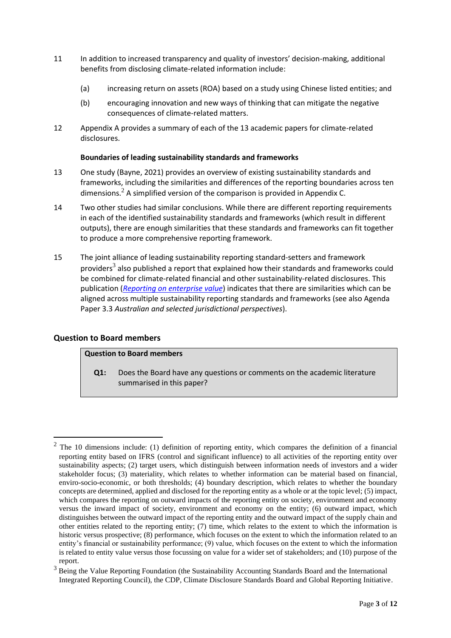- 11 In addition to increased transparency and quality of investors' decision-making, additional benefits from disclosing climate-related information include:
	- (a) increasing return on assets (ROA) based on a study using Chinese listed entities; and
	- (b) encouraging innovation and new ways of thinking that can mitigate the negative consequences of climate-related matters.
- 12 Appendix A provides a summary of each of the 13 academic papers for climate-related disclosures.

## **Boundaries of leading sustainability standards and frameworks**

- 13 One study (Bayne, 2021) provides an overview of existing sustainability standards and frameworks, including the similarities and differences of the reporting boundaries across ten dimensions. $<sup>2</sup>$  A simplified version of the comparison is provided in Appendix C.</sup>
- 14 Two other studies had similar conclusions. While there are different reporting requirements in each of the identified sustainability standards and frameworks (which result in different outputs), there are enough similarities that these standards and frameworks can fit together to produce a more comprehensive reporting framework.
- 15 The joint alliance of leading sustainability reporting standard-setters and framework providers<sup>3</sup> also published a report that explained how their standards and frameworks could be combined for climate-related financial and other sustainability-related disclosures. This publication (*[Reporting on enterprise value](https://29kjwb3armds2g3gi4lq2sx1-wpengine.netdna-ssl.com/wp-content/uploads/Reporting-on-enterprise-value_climate-prototype_Dec20.pdf)*) indicates that there are similarities which can be aligned across multiple sustainability reporting standards and frameworks (see also Agenda Paper 3.3 *Australian and selected jurisdictional perspectives*).

## **Question to Board members**

## **Question to Board members**

**Q1:** Does the Board have any questions or comments on the academic literature summarised in this paper?

 $2$  The 10 dimensions include: (1) definition of reporting entity, which compares the definition of a financial reporting entity based on IFRS (control and significant influence) to all activities of the reporting entity over sustainability aspects; (2) target users, which distinguish between information needs of investors and a wider stakeholder focus; (3) materiality, which relates to whether information can be material based on financial, enviro-socio-economic, or both thresholds; (4) boundary description, which relates to whether the boundary concepts are determined, applied and disclosed for the reporting entity as a whole or at the topic level; (5) impact, which compares the reporting on outward impacts of the reporting entity on society, environment and economy versus the inward impact of society, environment and economy on the entity; (6) outward impact, which distinguishes between the outward impact of the reporting entity and the outward impact of the supply chain and other entities related to the reporting entity; (7) time, which relates to the extent to which the information is historic versus prospective; (8) performance, which focuses on the extent to which the information related to an entity's financial or sustainability performance; (9) value, which focuses on the extent to which the information is related to entity value versus those focussing on value for a wider set of stakeholders; and (10) purpose of the report.

<sup>&</sup>lt;sup>3</sup> Being the Value Reporting Foundation (the Sustainability Accounting Standards Board and the International Integrated Reporting Council), the CDP, Climate Disclosure Standards Board and Global Reporting Initiative.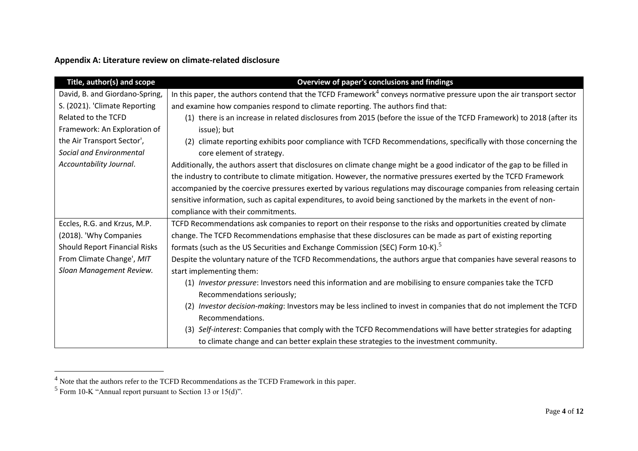## **Appendix A: Literature review on climate-related disclosure**

| Title, author(s) and scope     | Overview of paper's conclusions and findings                                                                             |  |  |  |  |  |
|--------------------------------|--------------------------------------------------------------------------------------------------------------------------|--|--|--|--|--|
| David, B. and Giordano-Spring, | In this paper, the authors contend that the TCFD Framework $4$ conveys normative pressure upon the air transport sector  |  |  |  |  |  |
| S. (2021). 'Climate Reporting  | and examine how companies respond to climate reporting. The authors find that:                                           |  |  |  |  |  |
| Related to the TCFD            | (1) there is an increase in related disclosures from 2015 (before the issue of the TCFD Framework) to 2018 (after its    |  |  |  |  |  |
| Framework: An Exploration of   | issue); but                                                                                                              |  |  |  |  |  |
| the Air Transport Sector',     | climate reporting exhibits poor compliance with TCFD Recommendations, specifically with those concerning the             |  |  |  |  |  |
| Social and Environmental       | core element of strategy.                                                                                                |  |  |  |  |  |
| Accountability Journal.        | Additionally, the authors assert that disclosures on climate change might be a good indicator of the gap to be filled in |  |  |  |  |  |
|                                | the industry to contribute to climate mitigation. However, the normative pressures exerted by the TCFD Framework         |  |  |  |  |  |
|                                | accompanied by the coercive pressures exerted by various regulations may discourage companies from releasing certain     |  |  |  |  |  |
|                                | sensitive information, such as capital expenditures, to avoid being sanctioned by the markets in the event of non-       |  |  |  |  |  |
|                                | compliance with their commitments.                                                                                       |  |  |  |  |  |
| Eccles, R.G. and Krzus, M.P.   | TCFD Recommendations ask companies to report on their response to the risks and opportunities created by climate         |  |  |  |  |  |
| (2018). 'Why Companies         | change. The TCFD Recommendations emphasise that these disclosures can be made as part of existing reporting              |  |  |  |  |  |
| Should Report Financial Risks  | formats (such as the US Securities and Exchange Commission (SEC) Form 10-K). <sup>5</sup>                                |  |  |  |  |  |
| From Climate Change', MIT      | Despite the voluntary nature of the TCFD Recommendations, the authors argue that companies have several reasons to       |  |  |  |  |  |
| Sloan Management Review.       | start implementing them:                                                                                                 |  |  |  |  |  |
|                                | (1) Investor pressure: Investors need this information and are mobilising to ensure companies take the TCFD              |  |  |  |  |  |
|                                | Recommendations seriously;                                                                                               |  |  |  |  |  |
|                                | Investor decision-making: Investors may be less inclined to invest in companies that do not implement the TCFD<br>(2)    |  |  |  |  |  |
|                                | Recommendations.                                                                                                         |  |  |  |  |  |
|                                | (3) Self-interest: Companies that comply with the TCFD Recommendations will have better strategies for adapting          |  |  |  |  |  |
|                                | to climate change and can better explain these strategies to the investment community.                                   |  |  |  |  |  |

 $<sup>4</sup>$  Note that the authors refer to the TCFD Recommendations as the TCFD Framework in this paper.</sup>

 $<sup>5</sup>$  Form 10-K "Annual report pursuant to Section 13 or 15(d)".</sup>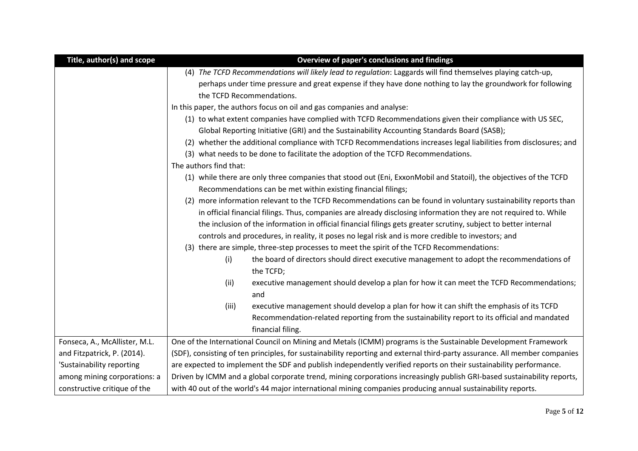| Title, author(s) and scope    | Overview of paper's conclusions and findings                                                                               |  |  |  |  |
|-------------------------------|----------------------------------------------------------------------------------------------------------------------------|--|--|--|--|
|                               | (4) The TCFD Recommendations will likely lead to regulation: Laggards will find themselves playing catch-up,               |  |  |  |  |
|                               | perhaps under time pressure and great expense if they have done nothing to lay the groundwork for following                |  |  |  |  |
|                               | the TCFD Recommendations.                                                                                                  |  |  |  |  |
|                               | In this paper, the authors focus on oil and gas companies and analyse:                                                     |  |  |  |  |
|                               | (1) to what extent companies have complied with TCFD Recommendations given their compliance with US SEC,                   |  |  |  |  |
|                               | Global Reporting Initiative (GRI) and the Sustainability Accounting Standards Board (SASB);                                |  |  |  |  |
|                               | (2) whether the additional compliance with TCFD Recommendations increases legal liabilities from disclosures; and          |  |  |  |  |
|                               | (3) what needs to be done to facilitate the adoption of the TCFD Recommendations.                                          |  |  |  |  |
|                               | The authors find that:                                                                                                     |  |  |  |  |
|                               | (1) while there are only three companies that stood out (Eni, ExxonMobil and Statoil), the objectives of the TCFD          |  |  |  |  |
|                               | Recommendations can be met within existing financial filings;                                                              |  |  |  |  |
|                               | (2) more information relevant to the TCFD Recommendations can be found in voluntary sustainability reports than            |  |  |  |  |
|                               | in official financial filings. Thus, companies are already disclosing information they are not required to. While          |  |  |  |  |
|                               | the inclusion of the information in official financial filings gets greater scrutiny, subject to better internal           |  |  |  |  |
|                               | controls and procedures, in reality, it poses no legal risk and is more credible to investors; and                         |  |  |  |  |
|                               | (3) there are simple, three-step processes to meet the spirit of the TCFD Recommendations:                                 |  |  |  |  |
|                               | the board of directors should direct executive management to adopt the recommendations of<br>(i)<br>the TCFD;              |  |  |  |  |
|                               | executive management should develop a plan for how it can meet the TCFD Recommendations;<br>(ii)<br>and                    |  |  |  |  |
|                               | (iii)<br>executive management should develop a plan for how it can shift the emphasis of its TCFD                          |  |  |  |  |
|                               | Recommendation-related reporting from the sustainability report to its official and mandated                               |  |  |  |  |
|                               | financial filing.                                                                                                          |  |  |  |  |
| Fonseca, A., McAllister, M.L. | One of the International Council on Mining and Metals (ICMM) programs is the Sustainable Development Framework             |  |  |  |  |
| and Fitzpatrick, P. (2014).   | (SDF), consisting of ten principles, for sustainability reporting and external third-party assurance. All member companies |  |  |  |  |
| 'Sustainability reporting     | are expected to implement the SDF and publish independently verified reports on their sustainability performance.          |  |  |  |  |
| among mining corporations: a  | Driven by ICMM and a global corporate trend, mining corporations increasingly publish GRI-based sustainability reports,    |  |  |  |  |
| constructive critique of the  | with 40 out of the world's 44 major international mining companies producing annual sustainability reports.                |  |  |  |  |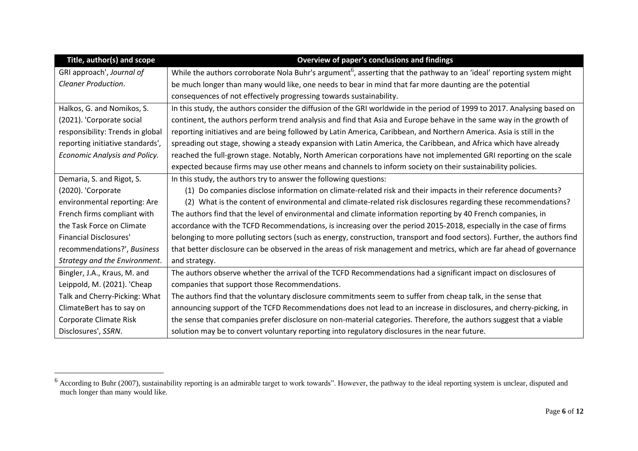| Title, author(s) and scope       | Overview of paper's conclusions and findings                                                                                      |  |  |  |  |
|----------------------------------|-----------------------------------------------------------------------------------------------------------------------------------|--|--|--|--|
| GRI approach', Journal of        | While the authors corroborate Nola Buhr's argument <sup>6</sup> , asserting that the pathway to an 'ideal' reporting system might |  |  |  |  |
| Cleaner Production.              | be much longer than many would like, one needs to bear in mind that far more daunting are the potential                           |  |  |  |  |
|                                  | consequences of not effectively progressing towards sustainability.                                                               |  |  |  |  |
| Halkos, G. and Nomikos, S.       | In this study, the authors consider the diffusion of the GRI worldwide in the period of 1999 to 2017. Analysing based on          |  |  |  |  |
| (2021). 'Corporate social        | continent, the authors perform trend analysis and find that Asia and Europe behave in the same way in the growth of               |  |  |  |  |
| responsibility: Trends in global | reporting initiatives and are being followed by Latin America, Caribbean, and Northern America. Asia is still in the              |  |  |  |  |
| reporting initiative standards', | spreading out stage, showing a steady expansion with Latin America, the Caribbean, and Africa which have already                  |  |  |  |  |
| Economic Analysis and Policy.    | reached the full-grown stage. Notably, North American corporations have not implemented GRI reporting on the scale                |  |  |  |  |
|                                  | expected because firms may use other means and channels to inform society on their sustainability policies.                       |  |  |  |  |
| Demaria, S. and Rigot, S.        | In this study, the authors try to answer the following questions:                                                                 |  |  |  |  |
| (2020). 'Corporate               | Do companies disclose information on climate-related risk and their impacts in their reference documents?<br>(1)                  |  |  |  |  |
| environmental reporting: Are     | What is the content of environmental and climate-related risk disclosures regarding these recommendations?<br>(2)                 |  |  |  |  |
| French firms compliant with      | The authors find that the level of environmental and climate information reporting by 40 French companies, in                     |  |  |  |  |
| the Task Force on Climate        | accordance with the TCFD Recommendations, is increasing over the period 2015-2018, especially in the case of firms                |  |  |  |  |
| <b>Financial Disclosures'</b>    | belonging to more polluting sectors (such as energy, construction, transport and food sectors). Further, the authors find         |  |  |  |  |
| recommendations?', Business      | that better disclosure can be observed in the areas of risk management and metrics, which are far ahead of governance             |  |  |  |  |
| Strategy and the Environment.    | and strategy.                                                                                                                     |  |  |  |  |
| Bingler, J.A., Kraus, M. and     | The authors observe whether the arrival of the TCFD Recommendations had a significant impact on disclosures of                    |  |  |  |  |
| Leippold, M. (2021). 'Cheap      | companies that support those Recommendations.                                                                                     |  |  |  |  |
| Talk and Cherry-Picking: What    | The authors find that the voluntary disclosure commitments seem to suffer from cheap talk, in the sense that                      |  |  |  |  |
| ClimateBert has to say on        | announcing support of the TCFD Recommendations does not lead to an increase in disclosures, and cherry-picking, in                |  |  |  |  |
| Corporate Climate Risk           | the sense that companies prefer disclosure on non-material categories. Therefore, the authors suggest that a viable               |  |  |  |  |
| Disclosures', SSRN.              | solution may be to convert voluntary reporting into regulatory disclosures in the near future.                                    |  |  |  |  |

 $6$  According to Buhr (2007), sustainability reporting is an admirable target to work towards". However, the pathway to the ideal reporting system is unclear, disputed and much longer than many would like.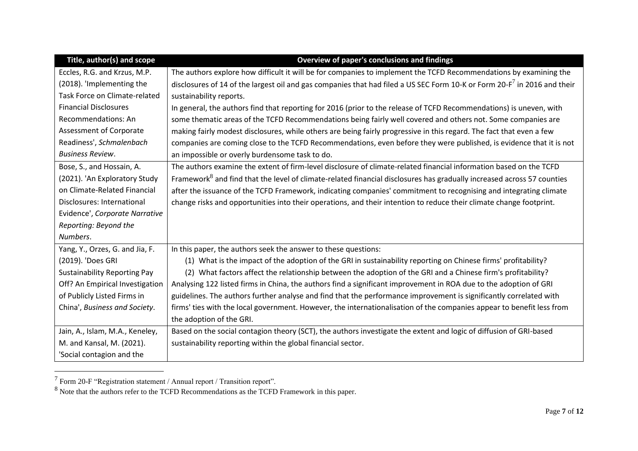| Title, author(s) and scope          | Overview of paper's conclusions and findings                                                                                         |  |  |  |  |  |
|-------------------------------------|--------------------------------------------------------------------------------------------------------------------------------------|--|--|--|--|--|
| Eccles, R.G. and Krzus, M.P.        | The authors explore how difficult it will be for companies to implement the TCFD Recommendations by examining the                    |  |  |  |  |  |
| (2018). 'Implementing the           | disclosures of 14 of the largest oil and gas companies that had filed a US SEC Form 10-K or Form 20-F <sup>7</sup> in 2016 and their |  |  |  |  |  |
| Task Force on Climate-related       | sustainability reports.                                                                                                              |  |  |  |  |  |
| <b>Financial Disclosures</b>        | In general, the authors find that reporting for 2016 (prior to the release of TCFD Recommendations) is uneven, with                  |  |  |  |  |  |
| Recommendations: An                 | some thematic areas of the TCFD Recommendations being fairly well covered and others not. Some companies are                         |  |  |  |  |  |
| <b>Assessment of Corporate</b>      | making fairly modest disclosures, while others are being fairly progressive in this regard. The fact that even a few                 |  |  |  |  |  |
| Readiness', Schmalenbach            | companies are coming close to the TCFD Recommendations, even before they were published, is evidence that it is not                  |  |  |  |  |  |
| <b>Business Review.</b>             | an impossible or overly burdensome task to do.                                                                                       |  |  |  |  |  |
| Bose, S., and Hossain, A.           | The authors examine the extent of firm-level disclosure of climate-related financial information based on the TCFD                   |  |  |  |  |  |
| (2021). 'An Exploratory Study       | Framework <sup>8</sup> and find that the level of climate-related financial disclosures has gradually increased across 57 counties   |  |  |  |  |  |
| on Climate-Related Financial        | after the issuance of the TCFD Framework, indicating companies' commitment to recognising and integrating climate                    |  |  |  |  |  |
| Disclosures: International          | change risks and opportunities into their operations, and their intention to reduce their climate change footprint.                  |  |  |  |  |  |
| Evidence', Corporate Narrative      |                                                                                                                                      |  |  |  |  |  |
| Reporting: Beyond the               |                                                                                                                                      |  |  |  |  |  |
| Numbers.                            |                                                                                                                                      |  |  |  |  |  |
| Yang, Y., Orzes, G. and Jia, F.     | In this paper, the authors seek the answer to these questions:                                                                       |  |  |  |  |  |
| (2019). 'Does GRI                   | (1) What is the impact of the adoption of the GRI in sustainability reporting on Chinese firms' profitability?                       |  |  |  |  |  |
| <b>Sustainability Reporting Pay</b> | (2) What factors affect the relationship between the adoption of the GRI and a Chinese firm's profitability?                         |  |  |  |  |  |
| Off? An Empirical Investigation     | Analysing 122 listed firms in China, the authors find a significant improvement in ROA due to the adoption of GRI                    |  |  |  |  |  |
| of Publicly Listed Firms in         | guidelines. The authors further analyse and find that the performance improvement is significantly correlated with                   |  |  |  |  |  |
| China', Business and Society.       | firms' ties with the local government. However, the internationalisation of the companies appear to benefit less from                |  |  |  |  |  |
|                                     | the adoption of the GRI.                                                                                                             |  |  |  |  |  |
| Jain, A., Islam, M.A., Keneley,     | Based on the social contagion theory (SCT), the authors investigate the extent and logic of diffusion of GRI-based                   |  |  |  |  |  |
| M. and Kansal, M. (2021).           | sustainability reporting within the global financial sector.                                                                         |  |  |  |  |  |
| 'Social contagion and the           |                                                                                                                                      |  |  |  |  |  |

 $^7$  Form 20-F "Registration statement / Annual report / Transition report".

 $8$  Note that the authors refer to the TCFD Recommendations as the TCFD Framework in this paper.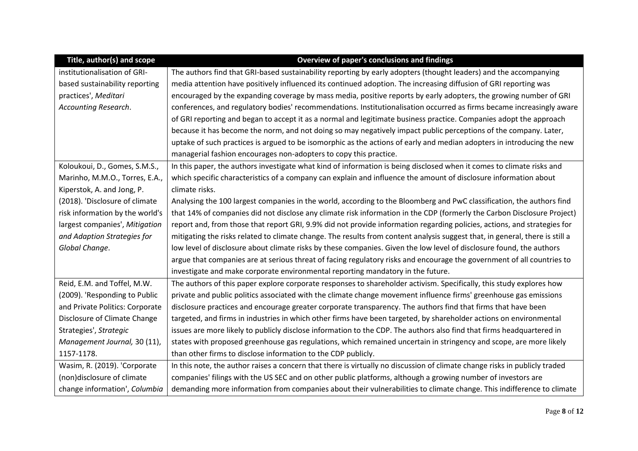| Title, author(s) and scope      | Overview of paper's conclusions and findings                                                                                 |
|---------------------------------|------------------------------------------------------------------------------------------------------------------------------|
| institutionalisation of GRI-    | The authors find that GRI-based sustainability reporting by early adopters (thought leaders) and the accompanying            |
| based sustainability reporting  | media attention have positively influenced its continued adoption. The increasing diffusion of GRI reporting was             |
| practices', Meditari            | encouraged by the expanding coverage by mass media, positive reports by early adopters, the growing number of GRI            |
| Accounting Research.            | conferences, and regulatory bodies' recommendations. Institutionalisation occurred as firms became increasingly aware        |
|                                 | of GRI reporting and began to accept it as a normal and legitimate business practice. Companies adopt the approach           |
|                                 | because it has become the norm, and not doing so may negatively impact public perceptions of the company. Later,             |
|                                 | uptake of such practices is argued to be isomorphic as the actions of early and median adopters in introducing the new       |
|                                 | managerial fashion encourages non-adopters to copy this practice.                                                            |
| Koloukoui, D., Gomes, S.M.S.,   | In this paper, the authors investigate what kind of information is being disclosed when it comes to climate risks and        |
| Marinho, M.M.O., Torres, E.A.,  | which specific characteristics of a company can explain and influence the amount of disclosure information about             |
| Kiperstok, A. and Jong, P.      | climate risks.                                                                                                               |
| (2018). 'Disclosure of climate  | Analysing the 100 largest companies in the world, according to the Bloomberg and PwC classification, the authors find        |
| risk information by the world's | that 14% of companies did not disclose any climate risk information in the CDP (formerly the Carbon Disclosure Project)      |
| largest companies', Mitigation  | report and, from those that report GRI, 9.9% did not provide information regarding policies, actions, and strategies for     |
| and Adaption Strategies for     | mitigating the risks related to climate change. The results from content analysis suggest that, in general, there is still a |
| Global Change.                  | low level of disclosure about climate risks by these companies. Given the low level of disclosure found, the authors         |
|                                 | argue that companies are at serious threat of facing regulatory risks and encourage the government of all countries to       |
|                                 | investigate and make corporate environmental reporting mandatory in the future.                                              |
| Reid, E.M. and Toffel, M.W.     | The authors of this paper explore corporate responses to shareholder activism. Specifically, this study explores how         |
| (2009). 'Responding to Public   | private and public politics associated with the climate change movement influence firms' greenhouse gas emissions            |
| and Private Politics: Corporate | disclosure practices and encourage greater corporate transparency. The authors find that firms that have been                |
| Disclosure of Climate Change    | targeted, and firms in industries in which other firms have been targeted, by shareholder actions on environmental           |
| Strategies', Strategic          | issues are more likely to publicly disclose information to the CDP. The authors also find that firms headquartered in        |
| Management Journal, 30 (11),    | states with proposed greenhouse gas regulations, which remained uncertain in stringency and scope, are more likely           |
| 1157-1178.                      | than other firms to disclose information to the CDP publicly.                                                                |
| Wasim, R. (2019). 'Corporate    | In this note, the author raises a concern that there is virtually no discussion of climate change risks in publicly traded   |
| (non)disclosure of climate      | companies' filings with the US SEC and on other public platforms, although a growing number of investors are                 |
| change information', Columbia   | demanding more information from companies about their vulnerabilities to climate change. This indifference to climate        |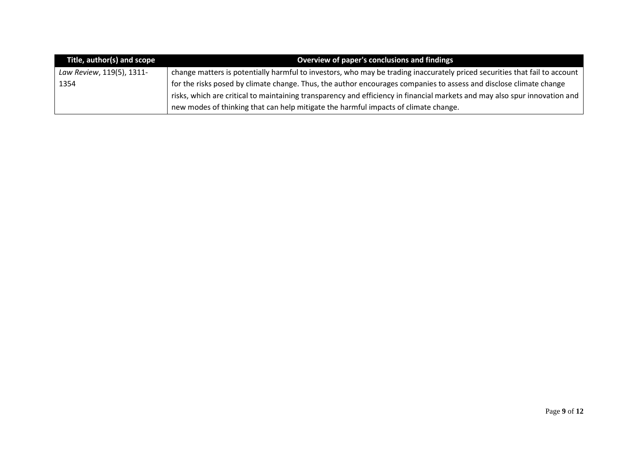| Title, author(s) and scope | Overview of paper's conclusions and findings                                                                               |
|----------------------------|----------------------------------------------------------------------------------------------------------------------------|
| Law Review, 119(5), 1311-  | change matters is potentially harmful to investors, who may be trading inaccurately priced securities that fail to account |
| 1354                       | for the risks posed by climate change. Thus, the author encourages companies to assess and disclose climate change         |
|                            | risks, which are critical to maintaining transparency and efficiency in financial markets and may also spur innovation and |
|                            | new modes of thinking that can help mitigate the harmful impacts of climate change.                                        |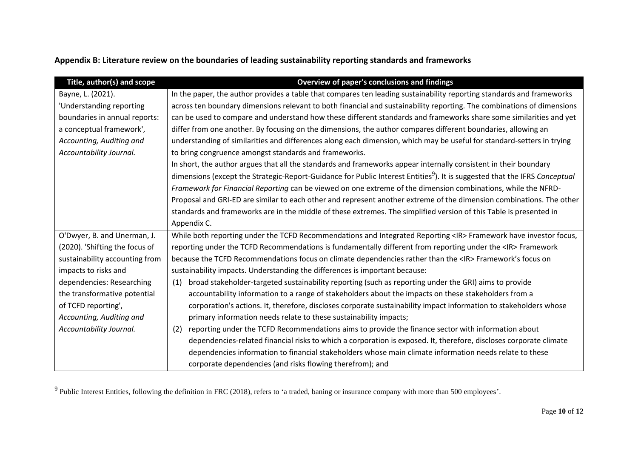| Appendix B: Literature review on the boundaries of leading sustainability reporting standards and frameworks |
|--------------------------------------------------------------------------------------------------------------|
|--------------------------------------------------------------------------------------------------------------|

| Title, author(s) and scope     | Overview of paper's conclusions and findings                                                                                           |  |  |  |  |  |
|--------------------------------|----------------------------------------------------------------------------------------------------------------------------------------|--|--|--|--|--|
| Bayne, L. (2021).              | In the paper, the author provides a table that compares ten leading sustainability reporting standards and frameworks                  |  |  |  |  |  |
| 'Understanding reporting       | across ten boundary dimensions relevant to both financial and sustainability reporting. The combinations of dimensions                 |  |  |  |  |  |
| boundaries in annual reports:  | can be used to compare and understand how these different standards and frameworks share some similarities and yet                     |  |  |  |  |  |
| a conceptual framework',       | differ from one another. By focusing on the dimensions, the author compares different boundaries, allowing an                          |  |  |  |  |  |
| Accounting, Auditing and       | understanding of similarities and differences along each dimension, which may be useful for standard-setters in trying                 |  |  |  |  |  |
| Accountability Journal.        | to bring congruence amongst standards and frameworks.                                                                                  |  |  |  |  |  |
|                                | In short, the author argues that all the standards and frameworks appear internally consistent in their boundary                       |  |  |  |  |  |
|                                | dimensions (except the Strategic-Report-Guidance for Public Interest Entities <sup>9</sup> ). It is suggested that the IFRS Conceptual |  |  |  |  |  |
|                                | Framework for Financial Reporting can be viewed on one extreme of the dimension combinations, while the NFRD-                          |  |  |  |  |  |
|                                | Proposal and GRI-ED are similar to each other and represent another extreme of the dimension combinations. The other                   |  |  |  |  |  |
|                                | standards and frameworks are in the middle of these extremes. The simplified version of this Table is presented in                     |  |  |  |  |  |
|                                | Appendix C.                                                                                                                            |  |  |  |  |  |
| O'Dwyer, B. and Unerman, J.    | While both reporting under the TCFD Recommendations and Integrated Reporting <ir> Framework have investor focus,</ir>                  |  |  |  |  |  |
| (2020). 'Shifting the focus of | reporting under the TCFD Recommendations is fundamentally different from reporting under the <ir> Framework</ir>                       |  |  |  |  |  |
| sustainability accounting from | because the TCFD Recommendations focus on climate dependencies rather than the <ir> Framework's focus on</ir>                          |  |  |  |  |  |
| impacts to risks and           | sustainability impacts. Understanding the differences is important because:                                                            |  |  |  |  |  |
| dependencies: Researching      | broad stakeholder-targeted sustainability reporting (such as reporting under the GRI) aims to provide<br>(1)                           |  |  |  |  |  |
| the transformative potential   | accountability information to a range of stakeholders about the impacts on these stakeholders from a                                   |  |  |  |  |  |
| of TCFD reporting',            | corporation's actions. It, therefore, discloses corporate sustainability impact information to stakeholders whose                      |  |  |  |  |  |
| Accounting, Auditing and       | primary information needs relate to these sustainability impacts;                                                                      |  |  |  |  |  |
| Accountability Journal.        | reporting under the TCFD Recommendations aims to provide the finance sector with information about<br>(2)                              |  |  |  |  |  |
|                                | dependencies-related financial risks to which a corporation is exposed. It, therefore, discloses corporate climate                     |  |  |  |  |  |
|                                | dependencies information to financial stakeholders whose main climate information needs relate to these                                |  |  |  |  |  |
|                                | corporate dependencies (and risks flowing therefrom); and                                                                              |  |  |  |  |  |

<sup>&</sup>lt;sup>9</sup> Public Interest Entities, following the definition in FRC (2018), refers to 'a traded, baning or insurance company with more than 500 employees'.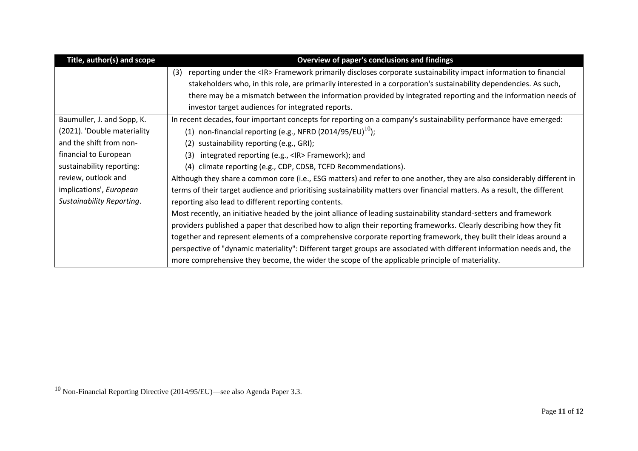| Title, author(s) and scope  | Overview of paper's conclusions and findings                                                                                 |  |  |  |  |  |
|-----------------------------|------------------------------------------------------------------------------------------------------------------------------|--|--|--|--|--|
|                             | reporting under the <ir> Framework primarily discloses corporate sustainability impact information to financial<br/>(3)</ir> |  |  |  |  |  |
|                             | stakeholders who, in this role, are primarily interested in a corporation's sustainability dependencies. As such,            |  |  |  |  |  |
|                             | there may be a mismatch between the information provided by integrated reporting and the information needs of                |  |  |  |  |  |
|                             | investor target audiences for integrated reports.                                                                            |  |  |  |  |  |
| Baumuller, J. and Sopp, K.  | In recent decades, four important concepts for reporting on a company's sustainability performance have emerged:             |  |  |  |  |  |
| (2021). 'Double materiality | (1) non-financial reporting (e.g., NFRD (2014/95/EU) <sup>10</sup> );                                                        |  |  |  |  |  |
| and the shift from non-     | sustainability reporting (e.g., GRI);<br>(2)                                                                                 |  |  |  |  |  |
| financial to European       | integrated reporting (e.g., <ir> Framework); and<br/>(3)</ir>                                                                |  |  |  |  |  |
| sustainability reporting:   | (4) climate reporting (e.g., CDP, CDSB, TCFD Recommendations).                                                               |  |  |  |  |  |
| review, outlook and         | Although they share a common core (i.e., ESG matters) and refer to one another, they are also considerably different in      |  |  |  |  |  |
| implications', European     | terms of their target audience and prioritising sustainability matters over financial matters. As a result, the different    |  |  |  |  |  |
| Sustainability Reporting.   | reporting also lead to different reporting contents.                                                                         |  |  |  |  |  |
|                             | Most recently, an initiative headed by the joint alliance of leading sustainability standard-setters and framework           |  |  |  |  |  |
|                             | providers published a paper that described how to align their reporting frameworks. Clearly describing how they fit          |  |  |  |  |  |
|                             | together and represent elements of a comprehensive corporate reporting framework, they built their ideas around a            |  |  |  |  |  |
|                             | perspective of "dynamic materiality": Different target groups are associated with different information needs and, the       |  |  |  |  |  |
|                             | more comprehensive they become, the wider the scope of the applicable principle of materiality.                              |  |  |  |  |  |

<sup>10</sup> Non-Financial Reporting Directive (2014/95/EU)—see also Agenda Paper 3.3.